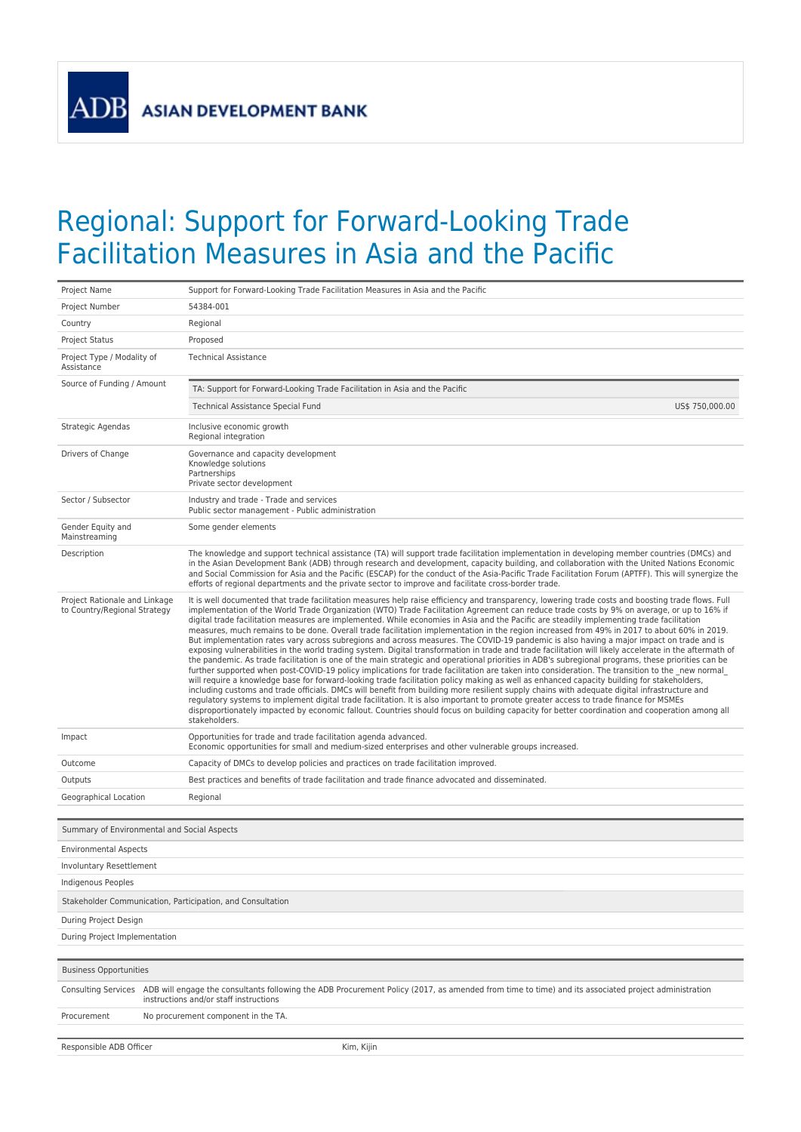**ADB** 

## Regional: Support for Forward-Looking Trade Facilitation Measures in Asia and the Pacific

| Project Name                                                  | Support for Forward-Looking Trade Facilitation Measures in Asia and the Pacific                                                                                                                                                                                                                                                                                                                                                                                                                                                                                                                                                                                                                                                                                                                                                                                                                                                                                                                                                                                                                                                                                                                                                                                                                                                                                                                                                                                                                                                                                                                                                                                                                                                                                                                                       |  |
|---------------------------------------------------------------|-----------------------------------------------------------------------------------------------------------------------------------------------------------------------------------------------------------------------------------------------------------------------------------------------------------------------------------------------------------------------------------------------------------------------------------------------------------------------------------------------------------------------------------------------------------------------------------------------------------------------------------------------------------------------------------------------------------------------------------------------------------------------------------------------------------------------------------------------------------------------------------------------------------------------------------------------------------------------------------------------------------------------------------------------------------------------------------------------------------------------------------------------------------------------------------------------------------------------------------------------------------------------------------------------------------------------------------------------------------------------------------------------------------------------------------------------------------------------------------------------------------------------------------------------------------------------------------------------------------------------------------------------------------------------------------------------------------------------------------------------------------------------------------------------------------------------|--|
| Project Number                                                | 54384-001                                                                                                                                                                                                                                                                                                                                                                                                                                                                                                                                                                                                                                                                                                                                                                                                                                                                                                                                                                                                                                                                                                                                                                                                                                                                                                                                                                                                                                                                                                                                                                                                                                                                                                                                                                                                             |  |
| Country                                                       | Regional                                                                                                                                                                                                                                                                                                                                                                                                                                                                                                                                                                                                                                                                                                                                                                                                                                                                                                                                                                                                                                                                                                                                                                                                                                                                                                                                                                                                                                                                                                                                                                                                                                                                                                                                                                                                              |  |
| Project Status                                                | Proposed                                                                                                                                                                                                                                                                                                                                                                                                                                                                                                                                                                                                                                                                                                                                                                                                                                                                                                                                                                                                                                                                                                                                                                                                                                                                                                                                                                                                                                                                                                                                                                                                                                                                                                                                                                                                              |  |
| Project Type / Modality of<br>Assistance                      | <b>Technical Assistance</b>                                                                                                                                                                                                                                                                                                                                                                                                                                                                                                                                                                                                                                                                                                                                                                                                                                                                                                                                                                                                                                                                                                                                                                                                                                                                                                                                                                                                                                                                                                                                                                                                                                                                                                                                                                                           |  |
| Source of Funding / Amount                                    | TA: Support for Forward-Looking Trade Facilitation in Asia and the Pacific                                                                                                                                                                                                                                                                                                                                                                                                                                                                                                                                                                                                                                                                                                                                                                                                                                                                                                                                                                                                                                                                                                                                                                                                                                                                                                                                                                                                                                                                                                                                                                                                                                                                                                                                            |  |
|                                                               | Technical Assistance Special Fund<br>US\$ 750,000.00                                                                                                                                                                                                                                                                                                                                                                                                                                                                                                                                                                                                                                                                                                                                                                                                                                                                                                                                                                                                                                                                                                                                                                                                                                                                                                                                                                                                                                                                                                                                                                                                                                                                                                                                                                  |  |
| Strategic Agendas                                             | Inclusive economic growth<br>Regional integration                                                                                                                                                                                                                                                                                                                                                                                                                                                                                                                                                                                                                                                                                                                                                                                                                                                                                                                                                                                                                                                                                                                                                                                                                                                                                                                                                                                                                                                                                                                                                                                                                                                                                                                                                                     |  |
| Drivers of Change                                             | Governance and capacity development<br>Knowledge solutions<br>Partnerships<br>Private sector development                                                                                                                                                                                                                                                                                                                                                                                                                                                                                                                                                                                                                                                                                                                                                                                                                                                                                                                                                                                                                                                                                                                                                                                                                                                                                                                                                                                                                                                                                                                                                                                                                                                                                                              |  |
| Sector / Subsector                                            | Industry and trade - Trade and services<br>Public sector management - Public administration                                                                                                                                                                                                                                                                                                                                                                                                                                                                                                                                                                                                                                                                                                                                                                                                                                                                                                                                                                                                                                                                                                                                                                                                                                                                                                                                                                                                                                                                                                                                                                                                                                                                                                                           |  |
| Gender Equity and<br>Mainstreaming                            | Some gender elements                                                                                                                                                                                                                                                                                                                                                                                                                                                                                                                                                                                                                                                                                                                                                                                                                                                                                                                                                                                                                                                                                                                                                                                                                                                                                                                                                                                                                                                                                                                                                                                                                                                                                                                                                                                                  |  |
| Description                                                   | The knowledge and support technical assistance (TA) will support trade facilitation implementation in developing member countries (DMCs) and<br>in the Asian Development Bank (ADB) through research and development, capacity building, and collaboration with the United Nations Economic<br>and Social Commission for Asia and the Pacific (ESCAP) for the conduct of the Asia-Pacific Trade Facilitation Forum (APTFF). This will synergize the<br>efforts of regional departments and the private sector to improve and facilitate cross-border trade.                                                                                                                                                                                                                                                                                                                                                                                                                                                                                                                                                                                                                                                                                                                                                                                                                                                                                                                                                                                                                                                                                                                                                                                                                                                           |  |
| Project Rationale and Linkage<br>to Country/Regional Strategy | It is well documented that trade facilitation measures help raise efficiency and transparency, lowering trade costs and boosting trade flows. Full<br>implementation of the World Trade Organization (WTO) Trade Facilitation Agreement can reduce trade costs by 9% on average, or up to 16% if<br>digital trade facilitation measures are implemented. While economies in Asia and the Pacific are steadily implementing trade facilitation<br>measures, much remains to be done. Overall trade facilitation implementation in the region increased from 49% in 2017 to about 60% in 2019.<br>But implementation rates vary across subregions and across measures. The COVID-19 pandemic is also having a major impact on trade and is<br>exposing vulnerabilities in the world trading system. Digital transformation in trade and trade facilitation will likely accelerate in the aftermath of<br>the pandemic. As trade facilitation is one of the main strategic and operational priorities in ADB's subregional programs, these priorities can be<br>further supported when post-COVID-19 policy implications for trade facilitation are taken into consideration. The transition to the new normal<br>will require a knowledge base for forward-looking trade facilitation policy making as well as enhanced capacity building for stakeholders,<br>including customs and trade officials. DMCs will benefit from building more resilient supply chains with adequate digital infrastructure and<br>regulatory systems to implement digital trade facilitation. It is also important to promote greater access to trade finance for MSMEs<br>disproportionately impacted by economic fallout. Countries should focus on building capacity for better coordination and cooperation among all<br>stakeholders. |  |
| Impact                                                        | Opportunities for trade and trade facilitation agenda advanced.<br>Economic opportunities for small and medium-sized enterprises and other vulnerable groups increased.                                                                                                                                                                                                                                                                                                                                                                                                                                                                                                                                                                                                                                                                                                                                                                                                                                                                                                                                                                                                                                                                                                                                                                                                                                                                                                                                                                                                                                                                                                                                                                                                                                               |  |
| Outcome                                                       | Capacity of DMCs to develop policies and practices on trade facilitation improved.                                                                                                                                                                                                                                                                                                                                                                                                                                                                                                                                                                                                                                                                                                                                                                                                                                                                                                                                                                                                                                                                                                                                                                                                                                                                                                                                                                                                                                                                                                                                                                                                                                                                                                                                    |  |
| Outputs                                                       | Best practices and benefits of trade facilitation and trade finance advocated and disseminated.                                                                                                                                                                                                                                                                                                                                                                                                                                                                                                                                                                                                                                                                                                                                                                                                                                                                                                                                                                                                                                                                                                                                                                                                                                                                                                                                                                                                                                                                                                                                                                                                                                                                                                                       |  |
| Geographical Location                                         | Regional                                                                                                                                                                                                                                                                                                                                                                                                                                                                                                                                                                                                                                                                                                                                                                                                                                                                                                                                                                                                                                                                                                                                                                                                                                                                                                                                                                                                                                                                                                                                                                                                                                                                                                                                                                                                              |  |
| Summary of Environmental and Social Aspects                   |                                                                                                                                                                                                                                                                                                                                                                                                                                                                                                                                                                                                                                                                                                                                                                                                                                                                                                                                                                                                                                                                                                                                                                                                                                                                                                                                                                                                                                                                                                                                                                                                                                                                                                                                                                                                                       |  |
| <b>Environmental Aspects</b>                                  |                                                                                                                                                                                                                                                                                                                                                                                                                                                                                                                                                                                                                                                                                                                                                                                                                                                                                                                                                                                                                                                                                                                                                                                                                                                                                                                                                                                                                                                                                                                                                                                                                                                                                                                                                                                                                       |  |
| Involuntary Resettlement                                      |                                                                                                                                                                                                                                                                                                                                                                                                                                                                                                                                                                                                                                                                                                                                                                                                                                                                                                                                                                                                                                                                                                                                                                                                                                                                                                                                                                                                                                                                                                                                                                                                                                                                                                                                                                                                                       |  |
| Indigenous Peoples                                            |                                                                                                                                                                                                                                                                                                                                                                                                                                                                                                                                                                                                                                                                                                                                                                                                                                                                                                                                                                                                                                                                                                                                                                                                                                                                                                                                                                                                                                                                                                                                                                                                                                                                                                                                                                                                                       |  |
| Stakeholder Communication, Participation, and Consultation    |                                                                                                                                                                                                                                                                                                                                                                                                                                                                                                                                                                                                                                                                                                                                                                                                                                                                                                                                                                                                                                                                                                                                                                                                                                                                                                                                                                                                                                                                                                                                                                                                                                                                                                                                                                                                                       |  |
| During Project Design                                         |                                                                                                                                                                                                                                                                                                                                                                                                                                                                                                                                                                                                                                                                                                                                                                                                                                                                                                                                                                                                                                                                                                                                                                                                                                                                                                                                                                                                                                                                                                                                                                                                                                                                                                                                                                                                                       |  |
| During Project Implementation                                 |                                                                                                                                                                                                                                                                                                                                                                                                                                                                                                                                                                                                                                                                                                                                                                                                                                                                                                                                                                                                                                                                                                                                                                                                                                                                                                                                                                                                                                                                                                                                                                                                                                                                                                                                                                                                                       |  |
| <b>Business Opportunities</b>                                 |                                                                                                                                                                                                                                                                                                                                                                                                                                                                                                                                                                                                                                                                                                                                                                                                                                                                                                                                                                                                                                                                                                                                                                                                                                                                                                                                                                                                                                                                                                                                                                                                                                                                                                                                                                                                                       |  |
|                                                               |                                                                                                                                                                                                                                                                                                                                                                                                                                                                                                                                                                                                                                                                                                                                                                                                                                                                                                                                                                                                                                                                                                                                                                                                                                                                                                                                                                                                                                                                                                                                                                                                                                                                                                                                                                                                                       |  |
|                                                               | Consulting Services ADB will engage the consultants following the ADB Procurement Policy (2017, as amended from time to time) and its associated project administration<br>instructions and/or staff instructions                                                                                                                                                                                                                                                                                                                                                                                                                                                                                                                                                                                                                                                                                                                                                                                                                                                                                                                                                                                                                                                                                                                                                                                                                                                                                                                                                                                                                                                                                                                                                                                                     |  |
| Procurement                                                   | No procurement component in the TA.                                                                                                                                                                                                                                                                                                                                                                                                                                                                                                                                                                                                                                                                                                                                                                                                                                                                                                                                                                                                                                                                                                                                                                                                                                                                                                                                                                                                                                                                                                                                                                                                                                                                                                                                                                                   |  |
| Responsible ADB Officer                                       | Kim, Kijin                                                                                                                                                                                                                                                                                                                                                                                                                                                                                                                                                                                                                                                                                                                                                                                                                                                                                                                                                                                                                                                                                                                                                                                                                                                                                                                                                                                                                                                                                                                                                                                                                                                                                                                                                                                                            |  |
|                                                               |                                                                                                                                                                                                                                                                                                                                                                                                                                                                                                                                                                                                                                                                                                                                                                                                                                                                                                                                                                                                                                                                                                                                                                                                                                                                                                                                                                                                                                                                                                                                                                                                                                                                                                                                                                                                                       |  |